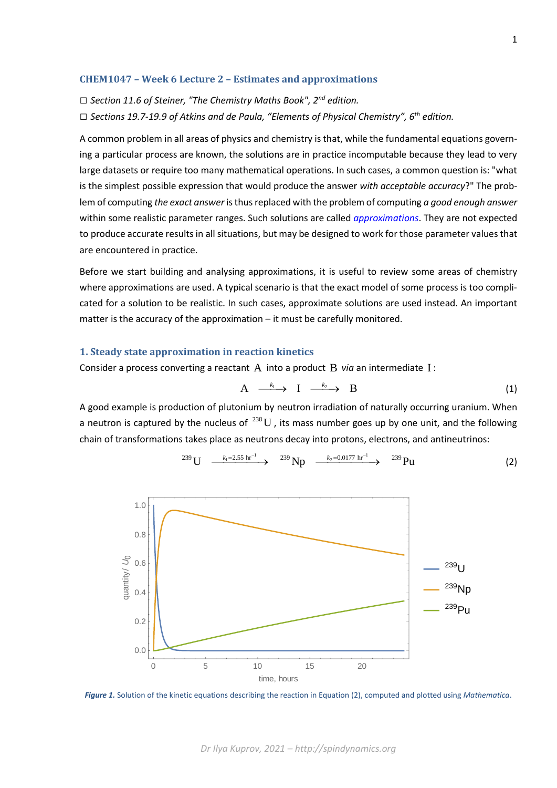## **CHEM1047 – Week 6 Lecture 2 – Estimates and approximations**

*□ Section 11.6 of Steiner, "The Chemistry Maths Book", 2nd edition.*

*□ Sections 19.7-19.9 of Atkins and de Paula, "Elements of Physical Chemistry", 6 th edition.*

A common problem in all areas of physics and chemistry is that, while the fundamental equations governing a particular process are known, the solutions are in practice incomputable because they lead to very large datasets or require too many mathematical operations. In such cases, a common question is: "what is the simplest possible expression that would produce the answer *with acceptable accuracy*?" The problem of computing *the exact answer* is thus replaced with the problem of computing *a good enough answer* within some realistic parameter ranges. Such solutions are called *[approximations](https://en.wikipedia.org/wiki/Approximation)*. They are not expected to produce accurate results in all situations, but may be designed to work for those parameter values that are encountered in practice.

Before we start building and analysing approximations, it is useful to review some areas of chemistry where approximations are used. A typical scenario is that the exact model of some process is too complicated for a solution to be realistic. In such cases, approximate solutions are used instead. An important matter is the accuracy of the approximation – it must be carefully monitored.

## **1. Steady state approximation in reaction kinetics**

Consider a process converting a reactant  $A$  into a product  $B$  via an intermediate  $I$ :

$$
A \xrightarrow{k_1} I \xrightarrow{k_2} B \tag{1}
$$

A good example is production of plutonium by neutron irradiation of naturally occurring uranium. When a neutron is captured by the nucleus of  $^{238}U$  , its mass number goes up by one unit, and the following chain of transformations takes place as neutrons decay into protons, electrons, and antineutrinos:





*Figure 1.* Solution of the kinetic equations describing the reaction in Equation (2), computed and plotted using *Mathematica*.

*Dr Ilya Kuprov, 2021 – http://spindynamics.org*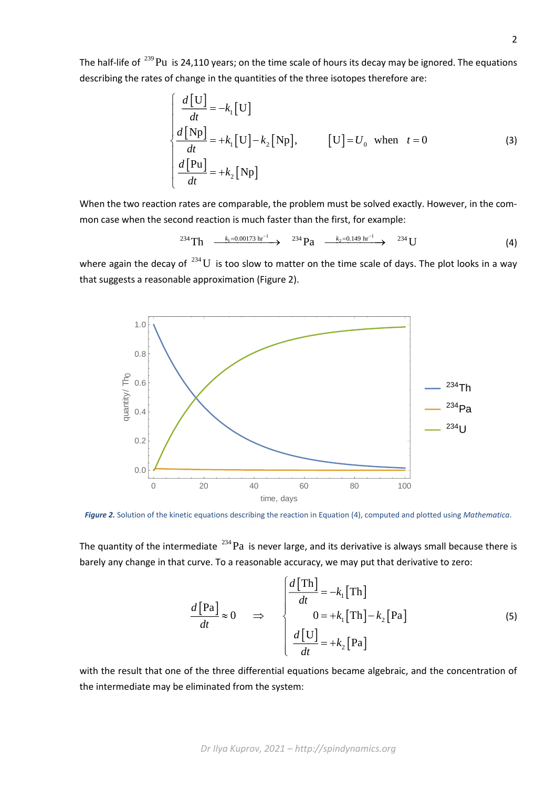The half-life of <sup>239</sup>Pu is 24,110 years; on the time scale of hours its decay may be ignored. The equations describing the rates of change in the quantities of the three isotopes therefore are:

$$
\begin{cases}\n\frac{d[U]}{dt} = -k_1[U] \\
\frac{d[Np]}{dt} = +k_1[U] - k_2[Np], \qquad [U] = U_0 \text{ when } t = 0\n\end{cases}
$$
\n(3)\n
$$
\frac{d[Pu]}{dt} = +k_2[Np]
$$

When the two reaction rates are comparable, the problem must be solved exactly. However, in the common case when the second reaction is much faster than the first, for example:

$$
^{234}\text{Th} \xrightarrow{k_1=0.00173 \text{ hr}^{-1}} ^{234}\text{Pa} \xrightarrow{k_2=0.149 \text{ hr}^{-1}} ^{234}\text{U}
$$
 (4)

where again the decay of  $^{234}$ U is too slow to matter on the time scale of days. The plot looks in a way that suggests a reasonable approximation (Figure 2).



*Figure 2.* Solution of the kinetic equations describing the reaction in Equation (4), computed and plotted using *Mathematica*.

The quantity of the intermediate  $^{234}$ Pa is never large, and its derivative is always small because there is barely any change in that curve. To a reasonable accuracy, we may put that derivative to zero:

$$
\frac{d[\text{Pa}]}{dt} \approx 0 \qquad \Rightarrow \qquad \begin{cases} \frac{d[\text{Th}]}{dt} = -k_1[\text{Th}] \\ 0 = +k_1[\text{Th}] - k_2[\text{Pa}] \\ \frac{d[\text{U}]}{dt} = +k_2[\text{Pa}] \end{cases} \tag{5}
$$

with the result that one of the three differential equations became algebraic, and the concentration of the intermediate may be eliminated from the system: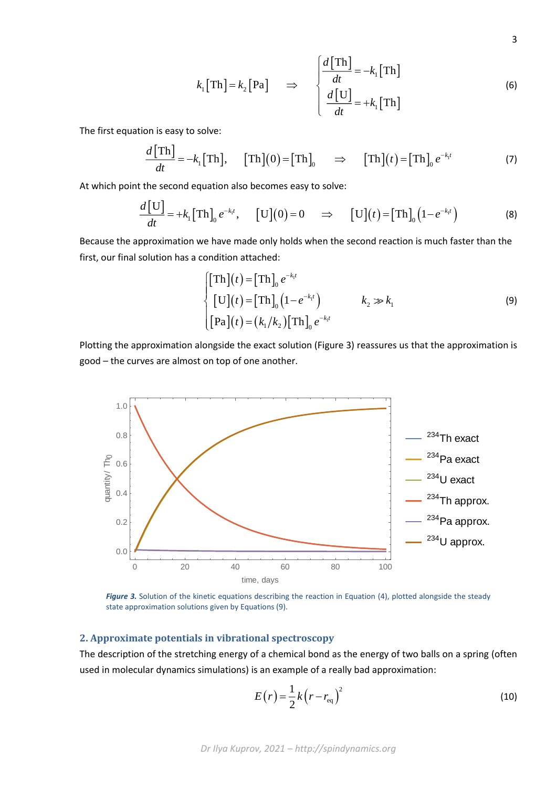$$
k_1[\text{Th}] = k_2[\text{Pa}] \Rightarrow \begin{cases} \frac{d[\text{Th}]}{dt} = -k_1[\text{Th}] \\ \frac{d[\text{U}]}{dt} = +k_1[\text{Th}] \end{cases}
$$
(6)

The first equation is easy to solve:

$$
\frac{d[\text{Th}]}{dt} = -k_1[\text{Th}], \quad [\text{Th}](0) = [\text{Th}]_0 \Rightarrow [\text{Th}](t) = [\text{Th}]_0 e^{-k_1 t}
$$
 (7)

At which point the second equation also becomes easy to solve:

$$
\frac{d\left[\mathbf{U}\right]}{dt} = +k_1\left[\text{Th}\right]_0 e^{-k_1 t}, \quad \left[\mathbf{U}\right](0) = 0 \quad \Rightarrow \quad \left[\mathbf{U}\right](t) = \left[\text{Th}\right]_0 \left(1 - e^{-k_1 t}\right) \tag{8}
$$

Because the approximation we have made only holds when the second reaction is much faster than the first, our final solution has a condition attached:

$$
\begin{cases}\n[\text{Th}](t) = [\text{Th}]_0 e^{-k_1 t} \\
[\text{U}](t) = [\text{Th}]_0 (1 - e^{-k_1 t}) \\
[\text{Pa}](t) = (k_1 / k_2) [\text{Th}]_0 e^{-k_1 t}\n\end{cases}
$$
\n(9)

Plotting the approximation alongside the exact solution (Figure 3) reassures us that the approximation is good – the curves are almost on top of one another.



*Figure 3.* Solution of the kinetic equations describing the reaction in Equation (4), plotted alongside the steady state approximation solutions given by Equations (9).

## **2. Approximate potentials in vibrational spectroscopy**

The description of the stretching energy of a chemical bond as the energy of two balls on a spring (often used in molecular dynamics simulations) is an example of a really bad approximation:

$$
E(r) = \frac{1}{2}k(r - r_{\text{eq}})^2
$$
\n(10)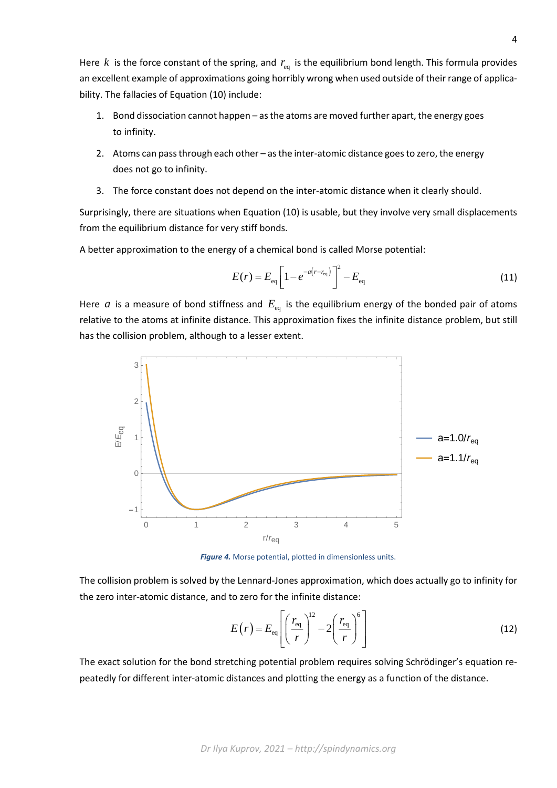Here  $k$  is the force constant of the spring, and  $r_{eq}$  is the equilibrium bond length. This formula provides an excellent example of approximations going horribly wrong when used outside of their range of applicability. The fallacies of Equation (10) include:

- 1. Bond dissociation cannot happen as the atoms are moved further apart, the energy goes to infinity.
- 2. Atoms can pass through each other as the inter-atomic distance goes to zero, the energy does not go to infinity.
- 3. The force constant does not depend on the inter-atomic distance when it clearly should.

Surprisingly, there are situations when Equation (10) is usable, but they involve very small displacements from the equilibrium distance for very stiff bonds.

A better approximation to the energy of a chemical bond is called Morse potential:

$$
E(r) = E_{\text{eq}} \left[ 1 - e^{-a(r - r_{\text{eq}})} \right]^2 - E_{\text{eq}}
$$
 (11)

Here  $a$  is a measure of bond stiffness and  $E_{\text{eq}}$  is the equilibrium energy of the bonded pair of atoms relative to the atoms at infinite distance. This approximation fixes the infinite distance problem, but still has the collision problem, although to a lesser extent.



*Figure 4.* Morse potential, plotted in dimensionless units.

The collision problem is solved by the Lennard-Jones approximation, which does actually go to infinity for the zero inter-atomic distance, and to zero for the infinite distance:

$$
E(r) = E_{\text{eq}} \left[ \left( \frac{r_{\text{eq}}}{r} \right)^{12} - 2 \left( \frac{r_{\text{eq}}}{r} \right)^{6} \right]
$$
 (12)

The exact solution for the bond stretching potential problem requires solving Schrödinger's equation repeatedly for different inter-atomic distances and plotting the energy as a function of the distance.